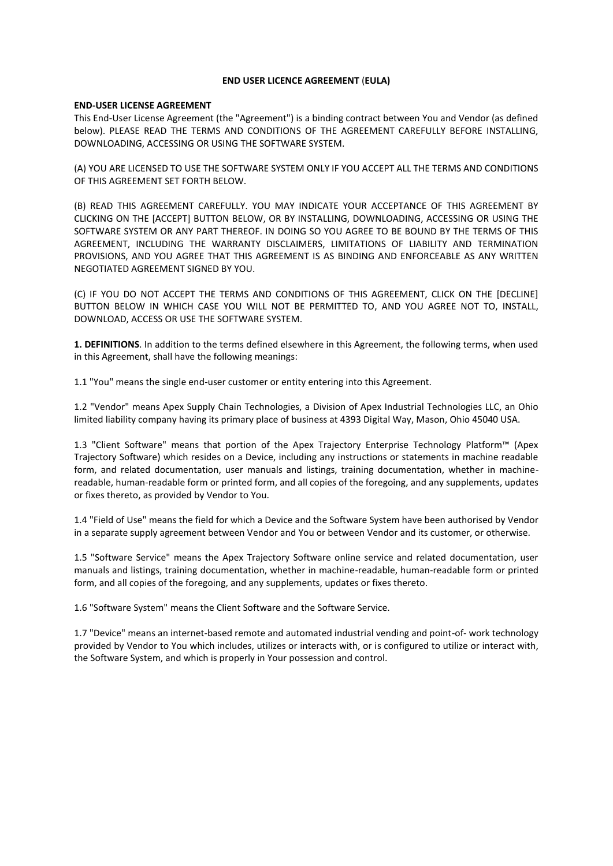#### **END USER LICENCE AGREEMENT** (**EULA)**

### **END-USER LICENSE AGREEMENT**

This End-User License Agreement (the "Agreement") is a binding contract between You and Vendor (as defined below). PLEASE READ THE TERMS AND CONDITIONS OF THE AGREEMENT CAREFULLY BEFORE INSTALLING, DOWNLOADING, ACCESSING OR USING THE SOFTWARE SYSTEM.

(A) YOU ARE LICENSED TO USE THE SOFTWARE SYSTEM ONLY IF YOU ACCEPT ALL THE TERMS AND CONDITIONS OF THIS AGREEMENT SET FORTH BELOW.

(B) READ THIS AGREEMENT CAREFULLY. YOU MAY INDICATE YOUR ACCEPTANCE OF THIS AGREEMENT BY CLICKING ON THE [ACCEPT] BUTTON BELOW, OR BY INSTALLING, DOWNLOADING, ACCESSING OR USING THE SOFTWARE SYSTEM OR ANY PART THEREOF. IN DOING SO YOU AGREE TO BE BOUND BY THE TERMS OF THIS AGREEMENT, INCLUDING THE WARRANTY DISCLAIMERS, LIMITATIONS OF LIABILITY AND TERMINATION PROVISIONS, AND YOU AGREE THAT THIS AGREEMENT IS AS BINDING AND ENFORCEABLE AS ANY WRITTEN NEGOTIATED AGREEMENT SIGNED BY YOU.

(C) IF YOU DO NOT ACCEPT THE TERMS AND CONDITIONS OF THIS AGREEMENT, CLICK ON THE [DECLINE] BUTTON BELOW IN WHICH CASE YOU WILL NOT BE PERMITTED TO, AND YOU AGREE NOT TO, INSTALL, DOWNLOAD, ACCESS OR USE THE SOFTWARE SYSTEM.

**1. DEFINITIONS**. In addition to the terms defined elsewhere in this Agreement, the following terms, when used in this Agreement, shall have the following meanings:

1.1 "You" means the single end-user customer or entity entering into this Agreement.

1.2 "Vendor" means Apex Supply Chain Technologies, a Division of Apex Industrial Technologies LLC, an Ohio limited liability company having its primary place of business at 4393 Digital Way, Mason, Ohio 45040 USA.

1.3 "Client Software" means that portion of the Apex Trajectory Enterprise Technology Platform™ (Apex Trajectory Software) which resides on a Device, including any instructions or statements in machine readable form, and related documentation, user manuals and listings, training documentation, whether in machinereadable, human-readable form or printed form, and all copies of the foregoing, and any supplements, updates or fixes thereto, as provided by Vendor to You.

1.4 "Field of Use" means the field for which a Device and the Software System have been authorised by Vendor in a separate supply agreement between Vendor and You or between Vendor and its customer, or otherwise.

1.5 "Software Service" means the Apex Trajectory Software online service and related documentation, user manuals and listings, training documentation, whether in machine-readable, human-readable form or printed form, and all copies of the foregoing, and any supplements, updates or fixes thereto.

1.6 "Software System" means the Client Software and the Software Service.

1.7 "Device" means an internet-based remote and automated industrial vending and point-of- work technology provided by Vendor to You which includes, utilizes or interacts with, or is configured to utilize or interact with, the Software System, and which is properly in Your possession and control.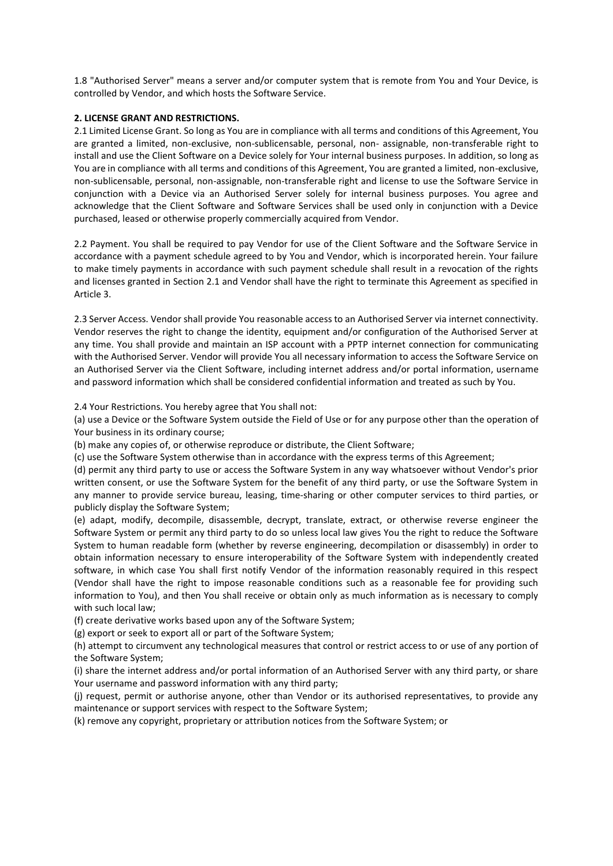1.8 "Authorised Server" means a server and/or computer system that is remote from You and Your Device, is controlled by Vendor, and which hosts the Software Service.

# **2. LICENSE GRANT AND RESTRICTIONS.**

2.1 Limited License Grant. So long as You are in compliance with all terms and conditions of this Agreement, You are granted a limited, non-exclusive, non-sublicensable, personal, non- assignable, non-transferable right to install and use the Client Software on a Device solely for Your internal business purposes. In addition, so long as You are in compliance with all terms and conditions of this Agreement, You are granted a limited, non-exclusive, non-sublicensable, personal, non-assignable, non-transferable right and license to use the Software Service in conjunction with a Device via an Authorised Server solely for internal business purposes. You agree and acknowledge that the Client Software and Software Services shall be used only in conjunction with a Device purchased, leased or otherwise properly commercially acquired from Vendor.

2.2 Payment. You shall be required to pay Vendor for use of the Client Software and the Software Service in accordance with a payment schedule agreed to by You and Vendor, which is incorporated herein. Your failure to make timely payments in accordance with such payment schedule shall result in a revocation of the rights and licenses granted in Section 2.1 and Vendor shall have the right to terminate this Agreement as specified in Article 3.

2.3 Server Access. Vendor shall provide You reasonable access to an Authorised Server via internet connectivity. Vendor reserves the right to change the identity, equipment and/or configuration of the Authorised Server at any time. You shall provide and maintain an ISP account with a PPTP internet connection for communicating with the Authorised Server. Vendor will provide You all necessary information to access the Software Service on an Authorised Server via the Client Software, including internet address and/or portal information, username and password information which shall be considered confidential information and treated as such by You.

2.4 Your Restrictions. You hereby agree that You shall not:

(a) use a Device or the Software System outside the Field of Use or for any purpose other than the operation of Your business in its ordinary course;

(b) make any copies of, or otherwise reproduce or distribute, the Client Software;

(c) use the Software System otherwise than in accordance with the express terms of this Agreement;

(d) permit any third party to use or access the Software System in any way whatsoever without Vendor's prior written consent, or use the Software System for the benefit of any third party, or use the Software System in any manner to provide service bureau, leasing, time-sharing or other computer services to third parties, or publicly display the Software System;

(e) adapt, modify, decompile, disassemble, decrypt, translate, extract, or otherwise reverse engineer the Software System or permit any third party to do so unless local law gives You the right to reduce the Software System to human readable form (whether by reverse engineering, decompilation or disassembly) in order to obtain information necessary to ensure interoperability of the Software System with independently created software, in which case You shall first notify Vendor of the information reasonably required in this respect (Vendor shall have the right to impose reasonable conditions such as a reasonable fee for providing such information to You), and then You shall receive or obtain only as much information as is necessary to comply with such local law;

(f) create derivative works based upon any of the Software System;

(g) export or seek to export all or part of the Software System;

(h) attempt to circumvent any technological measures that control or restrict access to or use of any portion of the Software System;

(i) share the internet address and/or portal information of an Authorised Server with any third party, or share Your username and password information with any third party;

(j) request, permit or authorise anyone, other than Vendor or its authorised representatives, to provide any maintenance or support services with respect to the Software System;

(k) remove any copyright, proprietary or attribution notices from the Software System; or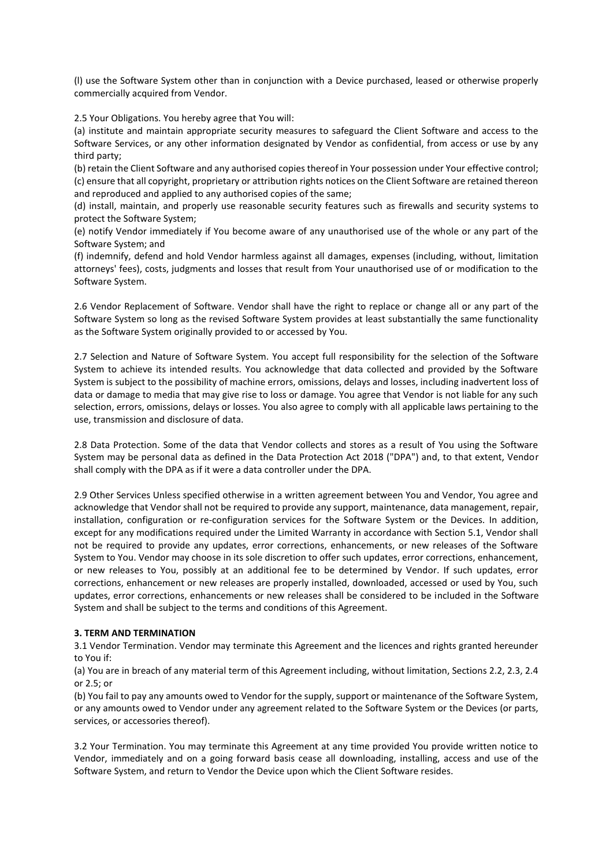(l) use the Software System other than in conjunction with a Device purchased, leased or otherwise properly commercially acquired from Vendor.

2.5 Your Obligations. You hereby agree that You will:

(a) institute and maintain appropriate security measures to safeguard the Client Software and access to the Software Services, or any other information designated by Vendor as confidential, from access or use by any third party;

(b) retain the Client Software and any authorised copies thereof in Your possession under Your effective control; (c) ensure that all copyright, proprietary or attribution rights notices on the Client Software are retained thereon and reproduced and applied to any authorised copies of the same;

(d) install, maintain, and properly use reasonable security features such as firewalls and security systems to protect the Software System;

(e) notify Vendor immediately if You become aware of any unauthorised use of the whole or any part of the Software System; and

(f) indemnify, defend and hold Vendor harmless against all damages, expenses (including, without, limitation attorneys' fees), costs, judgments and losses that result from Your unauthorised use of or modification to the Software System.

2.6 Vendor Replacement of Software. Vendor shall have the right to replace or change all or any part of the Software System so long as the revised Software System provides at least substantially the same functionality as the Software System originally provided to or accessed by You.

2.7 Selection and Nature of Software System. You accept full responsibility for the selection of the Software System to achieve its intended results. You acknowledge that data collected and provided by the Software System is subject to the possibility of machine errors, omissions, delays and losses, including inadvertent loss of data or damage to media that may give rise to loss or damage. You agree that Vendor is not liable for any such selection, errors, omissions, delays or losses. You also agree to comply with all applicable laws pertaining to the use, transmission and disclosure of data.

2.8 Data Protection. Some of the data that Vendor collects and stores as a result of You using the Software System may be personal data as defined in the Data Protection Act 2018 ("DPA") and, to that extent, Vendor shall comply with the DPA as if it were a data controller under the DPA.

2.9 Other Services Unless specified otherwise in a written agreement between You and Vendor, You agree and acknowledge that Vendor shall not be required to provide any support, maintenance, data management, repair, installation, configuration or re-configuration services for the Software System or the Devices. In addition, except for any modifications required under the Limited Warranty in accordance with Section 5.1, Vendor shall not be required to provide any updates, error corrections, enhancements, or new releases of the Software System to You. Vendor may choose in its sole discretion to offer such updates, error corrections, enhancement, or new releases to You, possibly at an additional fee to be determined by Vendor. If such updates, error corrections, enhancement or new releases are properly installed, downloaded, accessed or used by You, such updates, error corrections, enhancements or new releases shall be considered to be included in the Software System and shall be subject to the terms and conditions of this Agreement.

#### **3. TERM AND TERMINATION**

3.1 Vendor Termination. Vendor may terminate this Agreement and the licences and rights granted hereunder to You if:

(a) You are in breach of any material term of this Agreement including, without limitation, Sections 2.2, 2.3, 2.4 or 2.5; or

(b) You fail to pay any amounts owed to Vendor for the supply, support or maintenance of the Software System, or any amounts owed to Vendor under any agreement related to the Software System or the Devices (or parts, services, or accessories thereof).

3.2 Your Termination. You may terminate this Agreement at any time provided You provide written notice to Vendor, immediately and on a going forward basis cease all downloading, installing, access and use of the Software System, and return to Vendor the Device upon which the Client Software resides.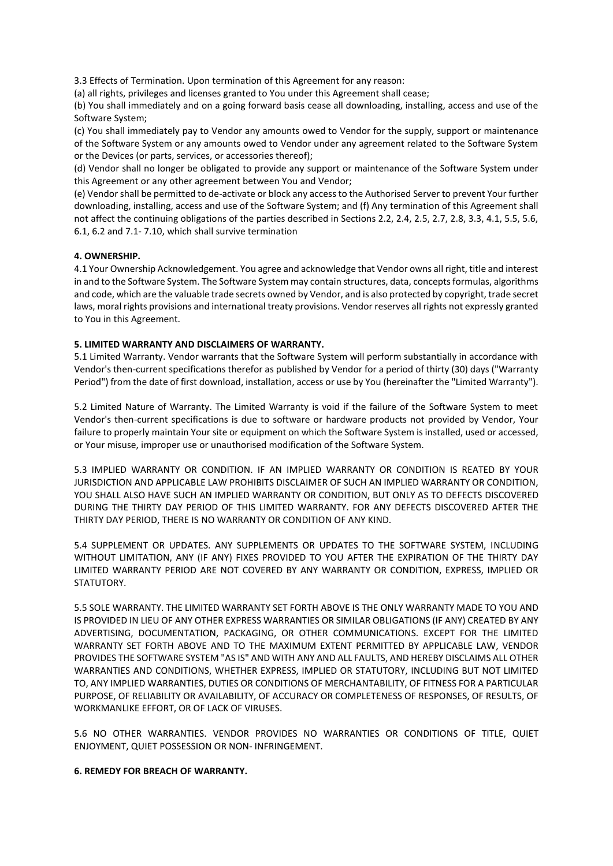3.3 Effects of Termination. Upon termination of this Agreement for any reason:

(a) all rights, privileges and licenses granted to You under this Agreement shall cease;

(b) You shall immediately and on a going forward basis cease all downloading, installing, access and use of the Software System;

(c) You shall immediately pay to Vendor any amounts owed to Vendor for the supply, support or maintenance of the Software System or any amounts owed to Vendor under any agreement related to the Software System or the Devices (or parts, services, or accessories thereof);

(d) Vendor shall no longer be obligated to provide any support or maintenance of the Software System under this Agreement or any other agreement between You and Vendor;

(e) Vendor shall be permitted to de-activate or block any access to the Authorised Server to prevent Your further downloading, installing, access and use of the Software System; and (f) Any termination of this Agreement shall not affect the continuing obligations of the parties described in Sections 2.2, 2.4, 2.5, 2.7, 2.8, 3.3, 4.1, 5.5, 5.6, 6.1, 6.2 and 7.1- 7.10, which shall survive termination

# **4. OWNERSHIP.**

4.1 Your Ownership Acknowledgement. You agree and acknowledge that Vendor owns all right, title and interest in and to the Software System. The Software System may contain structures, data, concepts formulas, algorithms and code, which are the valuable trade secrets owned by Vendor, and is also protected by copyright, trade secret laws, moral rights provisions and international treaty provisions. Vendor reserves all rights not expressly granted to You in this Agreement.

### **5. LIMITED WARRANTY AND DISCLAIMERS OF WARRANTY.**

5.1 Limited Warranty. Vendor warrants that the Software System will perform substantially in accordance with Vendor's then-current specifications therefor as published by Vendor for a period of thirty (30) days ("Warranty Period") from the date of first download, installation, access or use by You (hereinafter the "Limited Warranty").

5.2 Limited Nature of Warranty. The Limited Warranty is void if the failure of the Software System to meet Vendor's then-current specifications is due to software or hardware products not provided by Vendor, Your failure to properly maintain Your site or equipment on which the Software System is installed, used or accessed, or Your misuse, improper use or unauthorised modification of the Software System.

5.3 IMPLIED WARRANTY OR CONDITION. IF AN IMPLIED WARRANTY OR CONDITION IS REATED BY YOUR JURISDICTION AND APPLICABLE LAW PROHIBITS DISCLAIMER OF SUCH AN IMPLIED WARRANTY OR CONDITION, YOU SHALL ALSO HAVE SUCH AN IMPLIED WARRANTY OR CONDITION, BUT ONLY AS TO DEFECTS DISCOVERED DURING THE THIRTY DAY PERIOD OF THIS LIMITED WARRANTY. FOR ANY DEFECTS DISCOVERED AFTER THE THIRTY DAY PERIOD, THERE IS NO WARRANTY OR CONDITION OF ANY KIND.

5.4 SUPPLEMENT OR UPDATES. ANY SUPPLEMENTS OR UPDATES TO THE SOFTWARE SYSTEM, INCLUDING WITHOUT LIMITATION, ANY (IF ANY) FIXES PROVIDED TO YOU AFTER THE EXPIRATION OF THE THIRTY DAY LIMITED WARRANTY PERIOD ARE NOT COVERED BY ANY WARRANTY OR CONDITION, EXPRESS, IMPLIED OR STATUTORY.

5.5 SOLE WARRANTY. THE LIMITED WARRANTY SET FORTH ABOVE IS THE ONLY WARRANTY MADE TO YOU AND IS PROVIDED IN LIEU OF ANY OTHER EXPRESS WARRANTIES OR SIMILAR OBLIGATIONS (IF ANY) CREATED BY ANY ADVERTISING, DOCUMENTATION, PACKAGING, OR OTHER COMMUNICATIONS. EXCEPT FOR THE LIMITED WARRANTY SET FORTH ABOVE AND TO THE MAXIMUM EXTENT PERMITTED BY APPLICABLE LAW, VENDOR PROVIDES THE SOFTWARE SYSTEM "AS IS" AND WITH ANY AND ALL FAULTS, AND HEREBY DISCLAIMS ALL OTHER WARRANTIES AND CONDITIONS, WHETHER EXPRESS, IMPLIED OR STATUTORY, INCLUDING BUT NOT LIMITED TO, ANY IMPLIED WARRANTIES, DUTIES OR CONDITIONS OF MERCHANTABILITY, OF FITNESS FOR A PARTICULAR PURPOSE, OF RELIABILITY OR AVAILABILITY, OF ACCURACY OR COMPLETENESS OF RESPONSES, OF RESULTS, OF WORKMANLIKE EFFORT, OR OF LACK OF VIRUSES.

5.6 NO OTHER WARRANTIES. VENDOR PROVIDES NO WARRANTIES OR CONDITIONS OF TITLE, QUIET ENJOYMENT, QUIET POSSESSION OR NON- INFRINGEMENT.

#### **6. REMEDY FOR BREACH OF WARRANTY.**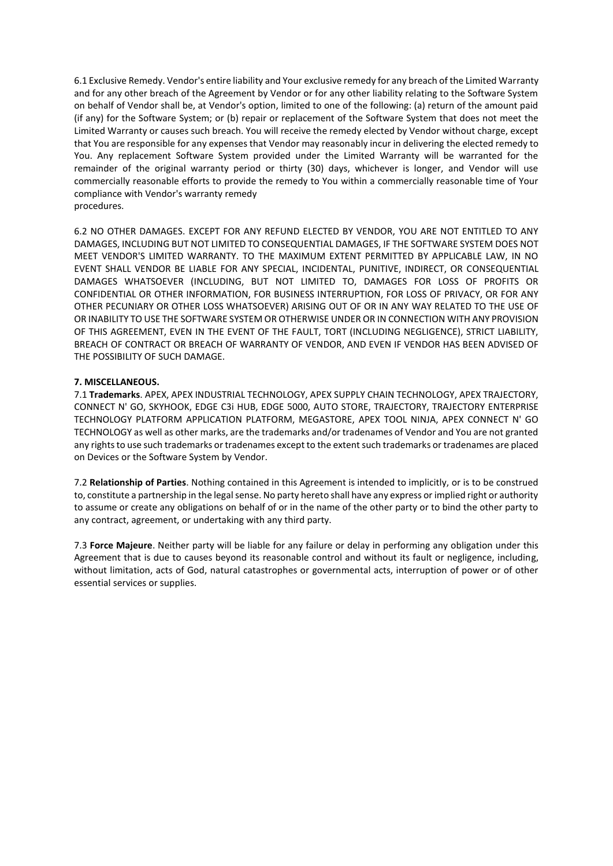6.1 Exclusive Remedy. Vendor's entire liability and Your exclusive remedy for any breach of the Limited Warranty and for any other breach of the Agreement by Vendor or for any other liability relating to the Software System on behalf of Vendor shall be, at Vendor's option, limited to one of the following: (a) return of the amount paid (if any) for the Software System; or (b) repair or replacement of the Software System that does not meet the Limited Warranty or causes such breach. You will receive the remedy elected by Vendor without charge, except that You are responsible for any expenses that Vendor may reasonably incur in delivering the elected remedy to You. Any replacement Software System provided under the Limited Warranty will be warranted for the remainder of the original warranty period or thirty (30) days, whichever is longer, and Vendor will use commercially reasonable efforts to provide the remedy to You within a commercially reasonable time of Your compliance with Vendor's warranty remedy procedures.

6.2 NO OTHER DAMAGES. EXCEPT FOR ANY REFUND ELECTED BY VENDOR, YOU ARE NOT ENTITLED TO ANY DAMAGES, INCLUDING BUT NOT LIMITED TO CONSEQUENTIAL DAMAGES, IF THE SOFTWARE SYSTEM DOES NOT MEET VENDOR'S LIMITED WARRANTY. TO THE MAXIMUM EXTENT PERMITTED BY APPLICABLE LAW, IN NO EVENT SHALL VENDOR BE LIABLE FOR ANY SPECIAL, INCIDENTAL, PUNITIVE, INDIRECT, OR CONSEQUENTIAL DAMAGES WHATSOEVER (INCLUDING, BUT NOT LIMITED TO, DAMAGES FOR LOSS OF PROFITS OR CONFIDENTIAL OR OTHER INFORMATION, FOR BUSINESS INTERRUPTION, FOR LOSS OF PRIVACY, OR FOR ANY OTHER PECUNIARY OR OTHER LOSS WHATSOEVER) ARISING OUT OF OR IN ANY WAY RELATED TO THE USE OF OR INABILITY TO USE THE SOFTWARE SYSTEM OR OTHERWISE UNDER OR IN CONNECTION WITH ANY PROVISION OF THIS AGREEMENT, EVEN IN THE EVENT OF THE FAULT, TORT (INCLUDING NEGLIGENCE), STRICT LIABILITY, BREACH OF CONTRACT OR BREACH OF WARRANTY OF VENDOR, AND EVEN IF VENDOR HAS BEEN ADVISED OF THE POSSIBILITY OF SUCH DAMAGE.

# **7. MISCELLANEOUS.**

7.1 **Trademarks**. APEX, APEX INDUSTRIAL TECHNOLOGY, APEX SUPPLY CHAIN TECHNOLOGY, APEX TRAJECTORY, CONNECT N' GO, SKYHOOK, EDGE C3i HUB, EDGE 5000, AUTO STORE, TRAJECTORY, TRAJECTORY ENTERPRISE TECHNOLOGY PLATFORM APPLICATION PLATFORM, MEGASTORE, APEX TOOL NINJA, APEX CONNECT N' GO TECHNOLOGY as well as other marks, are the trademarks and/or tradenames of Vendor and You are not granted any rights to use such trademarks or tradenames except to the extent such trademarks or tradenames are placed on Devices or the Software System by Vendor.

7.2 **Relationship of Parties**. Nothing contained in this Agreement is intended to implicitly, or is to be construed to, constitute a partnership in the legal sense. No party hereto shall have any express or implied right or authority to assume or create any obligations on behalf of or in the name of the other party or to bind the other party to any contract, agreement, or undertaking with any third party.

7.3 **Force Majeure**. Neither party will be liable for any failure or delay in performing any obligation under this Agreement that is due to causes beyond its reasonable control and without its fault or negligence, including, without limitation, acts of God, natural catastrophes or governmental acts, interruption of power or of other essential services or supplies.